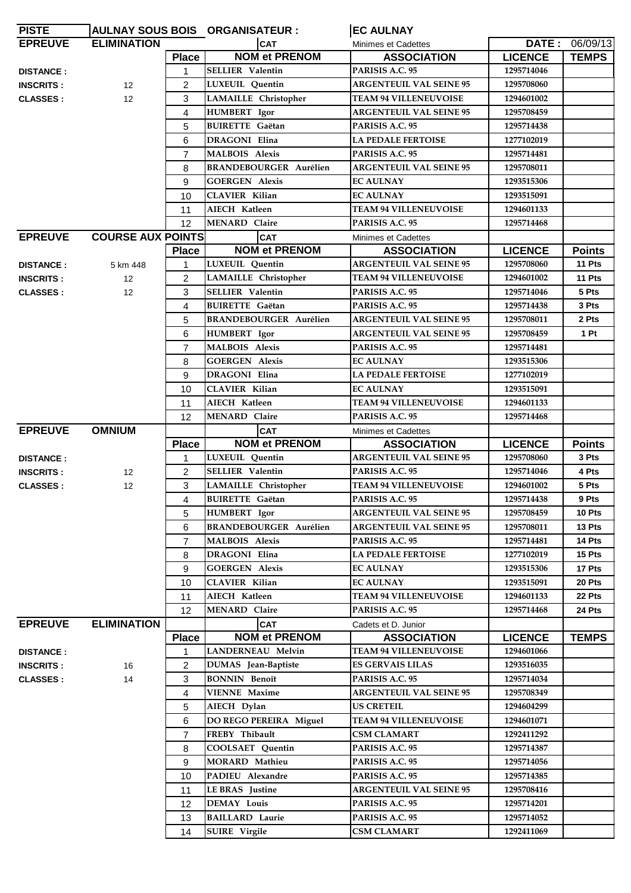| <b>PISTE</b>     |                          |                   | AULNAY SOUS BOIS ORGANISATEUR : | <b>IEC AULNAY</b>              |                |                |
|------------------|--------------------------|-------------------|---------------------------------|--------------------------------|----------------|----------------|
| <b>EPREUVE</b>   | <b>ELIMINATION</b>       |                   | <b>CAT</b>                      | Minimes et Cadettes            |                | DATE: 06/09/13 |
|                  |                          | <b>Place</b>      | <b>NOM et PRENOM</b>            | <b>ASSOCIATION</b>             | <b>LICENCE</b> | <b>TEMPS</b>   |
| <b>DISTANCE:</b> |                          | $\mathbf{1}$      | <b>SELLIER</b> Valentin         | PARISIS A.C. 95                | 1295714046     |                |
| <b>INSCRITS:</b> | 12 <sup>2</sup>          | $\overline{2}$    | <b>LUXEUIL</b> Quentin          | <b>ARGENTEUIL VAL SEINE 95</b> | 1295708060     |                |
| <b>CLASSES:</b>  | 12                       | 3                 | <b>LAMAILLE</b> Christopher     | <b>TEAM 94 VILLENEUVOISE</b>   | 1294601002     |                |
|                  |                          | 4                 | <b>HUMBERT</b> Igor             | <b>ARGENTEUIL VAL SEINE 95</b> | 1295708459     |                |
|                  |                          | 5                 | <b>BUIRETTE</b> Gaëtan          | PARISIS A.C. 95                | 1295714438     |                |
|                  |                          | 6                 | <b>DRAGONI</b> Elina            | <b>LA PEDALE FERTOISE</b>      | 1277102019     |                |
|                  |                          | $\overline{7}$    | <b>MALBOIS Alexis</b>           | PARISIS A.C. 95                | 1295714481     |                |
|                  |                          | 8                 | <b>BRANDEBOURGER Aurélien</b>   | <b>ARGENTEUIL VAL SEINE 95</b> | 1295708011     |                |
|                  |                          | 9                 | <b>GOERGEN Alexis</b>           | <b>EC AULNAY</b>               | 1293515306     |                |
|                  |                          | 10                | <b>CLAVIER Kilian</b>           | <b>EC AULNAY</b>               | 1293515091     |                |
|                  |                          | 11                | AIECH Katleen                   | <b>TEAM 94 VILLENEUVOISE</b>   | 1294601133     |                |
|                  |                          | $12 \overline{ }$ | <b>MENARD Claire</b>            | PARISIS A.C. 95                | 1295714468     |                |
| <b>EPREUVE</b>   | <b>COURSE AUX POINTS</b> |                   | <b>CAT</b>                      | Minimes et Cadettes            |                |                |
|                  |                          | <b>Place</b>      | <b>NOM et PRENOM</b>            | <b>ASSOCIATION</b>             | <b>LICENCE</b> | <b>Points</b>  |
| <b>DISTANCE:</b> | 5 km 448                 |                   | <b>LUXEUIL</b> Quentin          | <b>ARGENTEUIL VAL SEINE 95</b> | 1295708060     | 11 Pts         |
| <b>INSCRITS:</b> | $12 \overline{ }$        | $\overline{2}$    | <b>LAMAILLE</b> Christopher     | <b>TEAM 94 VILLENEUVOISE</b>   | 1294601002     | 11 Pts         |
| <b>CLASSES:</b>  | 12                       | 3                 | <b>SELLIER Valentin</b>         | PARISIS A.C. 95                | 1295714046     | 5 Pts          |
|                  |                          | 4                 | <b>BUIRETTE</b> Gaëtan          | PARISIS A.C. 95                | 1295714438     | 3 Pts          |
|                  |                          | 5                 | <b>BRANDEBOURGER Aurélien</b>   | <b>ARGENTEUIL VAL SEINE 95</b> | 1295708011     | 2 Pts          |
|                  |                          | 6                 | <b>HUMBERT</b> Igor             | <b>ARGENTEUIL VAL SEINE 95</b> | 1295708459     | 1 Pt           |
|                  |                          | $\overline{7}$    | <b>MALBOIS Alexis</b>           | PARISIS A.C. 95                | 1295714481     |                |
|                  |                          | 8                 | <b>GOERGEN Alexis</b>           | <b>EC AULNAY</b>               | 1293515306     |                |
|                  |                          | 9                 | <b>DRAGONI Elina</b>            | <b>LA PEDALE FERTOISE</b>      | 1277102019     |                |
|                  |                          | 10                | <b>CLAVIER Kilian</b>           | <b>EC AULNAY</b>               | 1293515091     |                |
|                  |                          | 11                | AIECH Katleen                   | <b>TEAM 94 VILLENEUVOISE</b>   | 1294601133     |                |
|                  |                          | 12                | <b>MENARD Claire</b>            | PARISIS A.C. 95                | 1295714468     |                |
| <b>EPREUVE</b>   | <b>OMNIUM</b>            |                   | <b>CAT</b>                      | <b>Minimes et Cadettes</b>     |                |                |
|                  |                          | <b>Place</b>      | <b>NOM et PRENOM</b>            | <b>ASSOCIATION</b>             | <b>LICENCE</b> | <b>Points</b>  |
| <b>DISTANCE:</b> |                          |                   | LUXEUIL Quentin                 | <b>ARGENTEUIL VAL SEINE 95</b> | 1295708060     | 3 Pts          |
| <b>INSCRITS:</b> | $12 \overline{ }$        | 2                 | <b>SELLIER Valentin</b>         | PARISIS A.C. 95                | 1295714046     | 4 Pts          |
| <b>CLASSES:</b>  | 12                       | 3                 | <b>LAMAILLE</b> Christopher     | <b>TEAM 94 VILLENEUVOISE</b>   | 1294601002     | 5 Pts          |
|                  |                          | 4                 | <b>BUIRETTE</b> Gaëtan          | PARISIS A.C. 95                | 1295714438     | 9 Pts          |
|                  |                          | 5                 | HUMBERT Igor                    | <b>ARGENTEUIL VAL SEINE 95</b> | 1295708459     | 10 Pts         |
|                  |                          | 6                 | <b>BRANDEBOURGER Aurélien</b>   | <b>ARGENTEUIL VAL SEINE 95</b> | 1295708011     | 13 Pts         |
|                  |                          | $\overline{7}$    | <b>MALBOIS Alexis</b>           | PARISIS A.C. 95                | 1295714481     | 14 Pts         |
|                  |                          | 8                 | <b>DRAGONI</b> Elina            | <b>LA PEDALE FERTOISE</b>      | 1277102019     | 15 Pts         |
|                  |                          | 9                 | <b>GOERGEN Alexis</b>           | <b>EC AULNAY</b>               | 1293515306     | 17 Pts         |
|                  |                          | 10                | <b>CLAVIER Kilian</b>           | <b>EC AULNAY</b>               | 1293515091     | 20 Pts         |
|                  |                          | 11                | AIECH Katleen                   | TEAM 94 VILLENEUVOISE          | 1294601133     | 22 Pts         |
|                  |                          | 12                | <b>MENARD Claire</b>            | PARISIS A.C. 95                | 1295714468     | 24 Pts         |
| <b>EPREUVE</b>   | <b>ELIMINATION</b>       |                   | <b>CAT</b>                      | Cadets et D. Junior            |                |                |
|                  |                          | <b>Place</b>      | <b>NOM et PRENOM</b>            | <b>ASSOCIATION</b>             | <b>LICENCE</b> | <b>TEMPS</b>   |
| <b>DISTANCE:</b> |                          | 1                 | LANDERNEAU Melvin               | <b>TEAM 94 VILLENEUVOISE</b>   | 1294601066     |                |
| <b>INSCRITS:</b> | 16                       | 2                 | DUMAS Jean-Baptiste             | <b>ES GERVAIS LILAS</b>        | 1293516035     |                |
| <b>CLASSES:</b>  | 14                       | 3                 | <b>BONNIN</b> Benoît            | PARISIS A.C. 95                | 1295714034     |                |
|                  |                          | 4                 | <b>VIENNE Maxime</b>            | <b>ARGENTEUIL VAL SEINE 95</b> | 1295708349     |                |
|                  |                          | 5                 | AIECH Dylan                     | <b>US CRETEIL</b>              | 1294604299     |                |
|                  |                          | 6                 | DO REGO PEREIRA Miguel          | <b>TEAM 94 VILLENEUVOISE</b>   | 1294601071     |                |
|                  |                          | $\overline{7}$    | FREBY Thibault                  | <b>CSM CLAMART</b>             | 1292411292     |                |
|                  |                          | 8                 | COOLSAET Quentin                | PARISIS A.C. 95                | 1295714387     |                |
|                  |                          | 9                 | <b>MORARD Mathieu</b>           | PARISIS A.C. 95                | 1295714056     |                |
|                  |                          | 10                | PADIEU Alexandre                | PARISIS A.C. 95                | 1295714385     |                |
|                  |                          | 11                | <b>LE BRAS</b> Justine          | <b>ARGENTEUIL VAL SEINE 95</b> | 1295708416     |                |
|                  |                          | 12                | <b>DEMAY Louis</b>              | PARISIS A.C. 95                | 1295714201     |                |
|                  |                          | 13                | <b>BAILLARD Laurie</b>          | PARISIS A.C. 95                | 1295714052     |                |
|                  |                          | 14                | <b>SUIRE</b> Virgile            | <b>CSM CLAMART</b>             | 1292411069     |                |

l.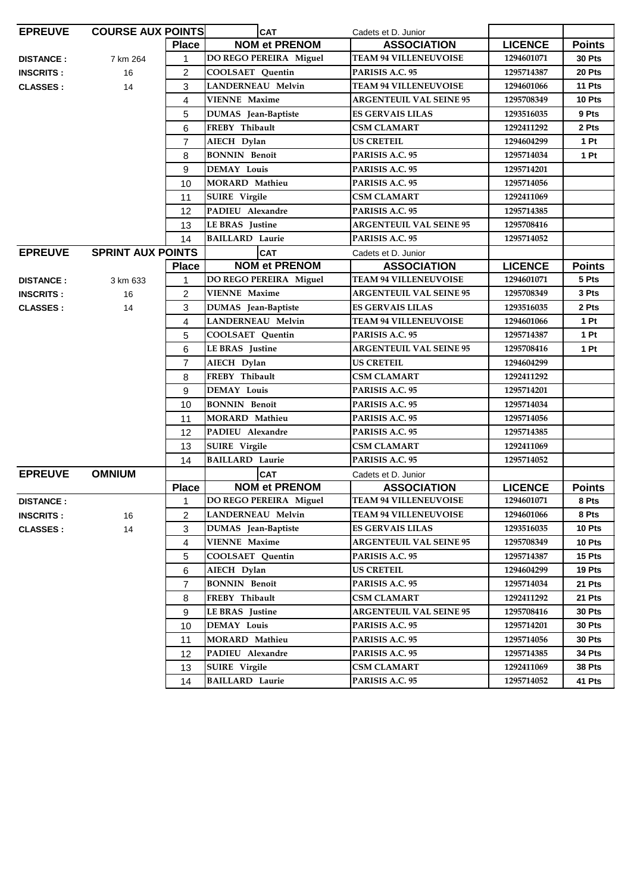| <b>EPREUVE</b>   | <b>COURSE AUX POINTS</b> |                | <b>CAT</b>                 | Cadets et D. Junior            |                |                 |
|------------------|--------------------------|----------------|----------------------------|--------------------------------|----------------|-----------------|
|                  |                          | <b>Place</b>   | <b>NOM et PRENOM</b>       | <b>ASSOCIATION</b>             | <b>LICENCE</b> | <b>Points</b>   |
| <b>DISTANCE:</b> | 7 km 264                 | 1              | DO REGO PEREIRA Miguel     | <b>TEAM 94 VILLENEUVOISE</b>   | 1294601071     | 30 Pts          |
| <b>INSCRITS:</b> | 16                       | $\overline{2}$ | COOLSAET Quentin           | PARISIS A.C. 95                | 1295714387     | 20 Pts          |
| <b>CLASSES:</b>  | 14                       | 3              | LANDERNEAU Melvin          | <b>TEAM 94 VILLENEUVOISE</b>   | 1294601066     | 11 Pts          |
|                  |                          | 4              | <b>VIENNE Maxime</b>       | <b>ARGENTEUIL VAL SEINE 95</b> | 1295708349     | 10 Pts          |
|                  |                          | 5              | DUMAS Jean-Baptiste        | <b>ES GERVAIS LILAS</b>        | 1293516035     | 9 Pts           |
|                  |                          | 6              | FREBY Thibault             | <b>CSM CLAMART</b>             | 1292411292     | 2 Pts           |
|                  |                          | $\overline{7}$ | AIECH Dylan                | <b>US CRETEIL</b>              | 1294604299     | 1 Pt            |
|                  |                          | 8              | <b>BONNIN Benoît</b>       | PARISIS A.C. 95                | 1295714034     | 1P <sub>t</sub> |
|                  |                          | 9              | <b>DEMAY Louis</b>         | PARISIS A.C. 95                | 1295714201     |                 |
|                  |                          | 10             | <b>MORARD Mathieu</b>      | PARISIS A.C. 95                | 1295714056     |                 |
|                  |                          | 11             | SUIRE Virgile              | <b>CSM CLAMART</b>             | 1292411069     |                 |
|                  |                          | 12             | PADIEU Alexandre           | PARISIS A.C. 95                | 1295714385     |                 |
|                  |                          | 13             | <b>LE BRAS</b> Justine     | <b>ARGENTEUIL VAL SEINE 95</b> | 1295708416     |                 |
|                  |                          | 14             | <b>BAILLARD Laurie</b>     | PARISIS A.C. 95                | 1295714052     |                 |
| <b>EPREUVE</b>   | <b>SPRINT AUX POINTS</b> |                | <b>CAT</b>                 | Cadets et D. Junior            |                |                 |
|                  |                          | <b>Place</b>   | <b>NOM et PRENOM</b>       | <b>ASSOCIATION</b>             | <b>LICENCE</b> | <b>Points</b>   |
| <b>DISTANCE:</b> | 3 km 633                 | 1              | DO REGO PEREIRA Miguel     | <b>TEAM 94 VILLENEUVOISE</b>   | 1294601071     | 5 Pts           |
| <b>INSCRITS:</b> | 16                       | $\overline{2}$ | <b>VIENNE Maxime</b>       | <b>ARGENTEUIL VAL SEINE 95</b> | 1295708349     | 3 Pts           |
| <b>CLASSES:</b>  | 14                       | 3              | <b>DUMAS</b> Jean-Baptiste | <b>ES GERVAIS LILAS</b>        | 1293516035     | 2 Pts           |
|                  |                          | 4              | <b>LANDERNEAU Melvin</b>   | <b>TEAM 94 VILLENEUVOISE</b>   | 1294601066     | 1P <sub>t</sub> |
|                  |                          | 5              | COOLSAET Quentin           | PARISIS A.C. 95                | 1295714387     | 1 Pt            |
|                  |                          | 6              | LE BRAS Justine            | <b>ARGENTEUIL VAL SEINE 95</b> | 1295708416     | 1 Pt            |
|                  |                          | $\overline{7}$ | AIECH Dylan                | <b>US CRETEIL</b>              | 1294604299     |                 |
|                  |                          | 8              | FREBY Thibault             | CSM CLAMART                    | 1292411292     |                 |
|                  |                          | 9              | <b>DEMAY Louis</b>         | PARISIS A.C. 95                | 1295714201     |                 |
|                  |                          | 10             | <b>BONNIN Benoît</b>       | PARISIS A.C. 95                | 1295714034     |                 |
|                  |                          | 11             | <b>MORARD Mathieu</b>      | PARISIS A.C. 95                | 1295714056     |                 |
|                  |                          | 12             | PADIEU Alexandre           | PARISIS A.C. 95                | 1295714385     |                 |
|                  |                          | 13             | <b>SUIRE</b> Virgile       | <b>CSM CLAMART</b>             | 1292411069     |                 |
|                  |                          | 14             | <b>BAILLARD</b> Laurie     | PARISIS A.C. 95                | 1295714052     |                 |
| <b>EPREUVE</b>   | <b>OMNIUM</b>            |                | <b>CAT</b>                 | Cadets et D. Junior            |                |                 |
|                  |                          | <b>Place</b>   | <b>NOM et PRENOM</b>       | <b>ASSOCIATION</b>             | <b>LICENCE</b> | <b>Points</b>   |
| <b>DISTANCE:</b> |                          |                | DO REGO PEREIRA Miguel     | <b>TEAM 94 VILLENEUVOISE</b>   | 1294601071     | 8 Pts           |
| <b>INSCRITS:</b> | 16                       | $\overline{2}$ | LANDERNEAU Melvin          | <b>TEAM 94 VILLENEUVOISE</b>   | 1294601066     | 8 Pts           |
| <b>CLASSES:</b>  | 14                       | 3              | DUMAS Jean-Baptiste        | <b>ES GERVAIS LILAS</b>        | 1293516035     | 10 Pts          |
|                  |                          | 4              | <b>VIENNE Maxime</b>       | <b>ARGENTEUIL VAL SEINE 95</b> | 1295708349     | 10 Pts          |
|                  |                          | 5              | COOLSAET Quentin           | PARISIS A.C. 95                | 1295714387     | 15 Pts          |
|                  |                          | 6              | AIECH Dylan                | <b>US CRETEIL</b>              | 1294604299     | 19 Pts          |
|                  |                          | $\overline{7}$ | <b>BONNIN Benoît</b>       | PARISIS A.C. 95                | 1295714034     | 21 Pts          |
|                  |                          | 8              | FREBY Thibault             | <b>CSM CLAMART</b>             | 1292411292     | 21 Pts          |
|                  |                          | 9              | <b>LE BRAS</b> Justine     | <b>ARGENTEUIL VAL SEINE 95</b> | 1295708416     | <b>30 Pts</b>   |
|                  |                          | 10             | <b>DEMAY Louis</b>         | PARISIS A.C. 95                | 1295714201     | <b>30 Pts</b>   |
|                  |                          | 11             | MORARD Mathieu             | PARISIS A.C. 95                | 1295714056     | 30 Pts          |
|                  |                          | 12             | PADIEU Alexandre           | PARISIS A.C. 95                | 1295714385     | 34 Pts          |
|                  |                          | 13             | <b>SUIRE</b> Virgile       | <b>CSM CLAMART</b>             | 1292411069     | 38 Pts          |
|                  |                          | 14             | <b>BAILLARD Laurie</b>     | PARISIS A.C. 95                | 1295714052     | 41 Pts          |